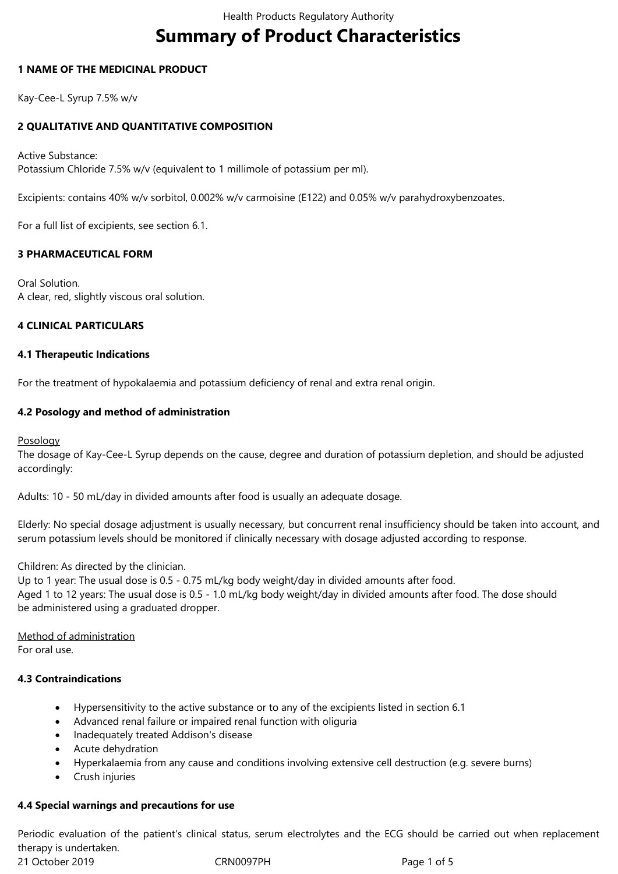# **Summary of Product Characteristics**

## **1 NAME OF THE MEDICINAL PRODUCT**

Kay-Cee-L Syrup 7.5% w/v

# **2 QUALITATIVE AND QUANTITATIVE COMPOSITION**

Active Substance: Potassium Chloride 7.5% w/v (equivalent to 1 millimole of potassium per ml).

Excipients: contains 40% w/v sorbitol, 0.002% w/v carmoisine (E122) and 0.05% w/v parahydroxybenzoates.

For a full list of excipients, see section 6.1.

# **3 PHARMACEUTICAL FORM**

Oral Solution. A clear, red, slightly viscous oral solution.

#### **4 CLINICAL PARTICULARS**

#### **4.1 Therapeutic Indications**

For the treatment of hypokalaemia and potassium deficiency of renal and extra renal origin.

# **4.2 Posology and method of administration**

Posology

The dosage of Kay-Cee-L Syrup depends on the cause, degree and duration of potassium depletion, and should be adjusted accordingly:

Adults: 10 - 50 mL/day in divided amounts after food is usually an adequate dosage.

Elderly: No special dosage adjustment is usually necessary, but concurrent renal insufficiency should be taken into account, and serum potassium levels should be monitored if clinically necessary with dosage adjusted according to response.

Children: As directed by the clinician.

Up to 1 year: The usual dose is 0.5 - 0.75 mL/kg body weight/day in divided amounts after food. Aged 1 to 12 years: The usual dose is 0.5 - 1.0 mL/kg body weight/day in divided amounts after food. The dose should be administered using a graduated dropper.

Method of administration For oral use.

#### **4.3 Contraindications**

- Hypersensitivity to the active substance or to any of the excipients listed in section 6.1
- Advanced renal failure or impaired renal function with oliguria
- Inadequately treated Addison's disease
- Acute dehydration
- Hyperkalaemia from any cause and conditions involving extensive cell destruction (e.g. severe burns)
- Crush injuries

# **4.4 Special warnings and precautions for use**

Periodic evaluation of the patient's clinical status, serum electrolytes and the ECG should be carried out when replacement therapy is undertaken.

21 October 2019 CRN0097PH Page 1 of 5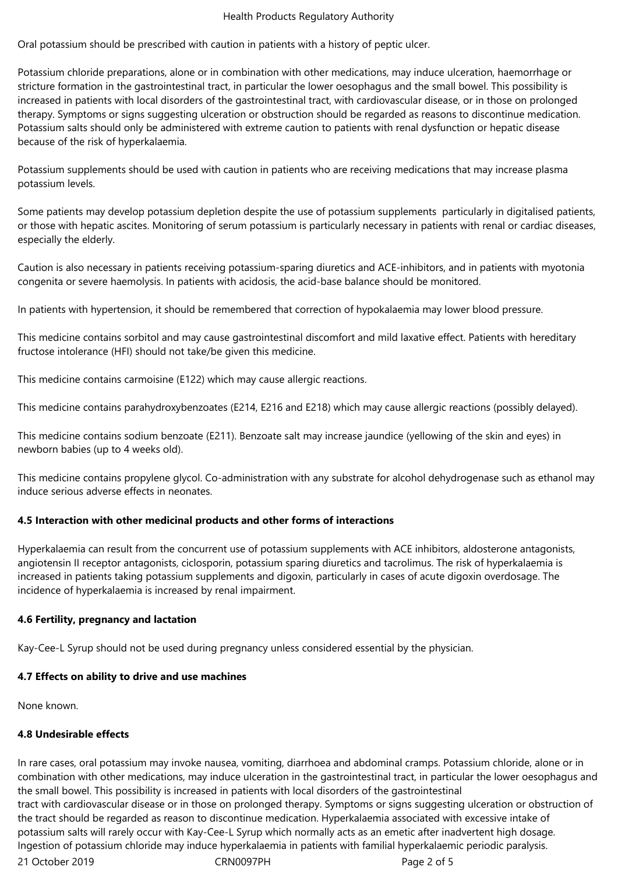#### Health Products Regulatory Authority

Oral potassium should be prescribed with caution in patients with a history of peptic ulcer.

Potassium chloride preparations, alone or in combination with other medications, may induce ulceration, haemorrhage or stricture formation in the gastrointestinal tract, in particular the lower oesophagus and the small bowel. This possibility is increased in patients with local disorders of the gastrointestinal tract, with cardiovascular disease, or in those on prolonged therapy. Symptoms or signs suggesting ulceration or obstruction should be regarded as reasons to discontinue medication. Potassium salts should only be administered with extreme caution to patients with renal dysfunction or hepatic disease because of the risk of hyperkalaemia.

Potassium supplements should be used with caution in patients who are receiving medications that may increase plasma potassium levels.

Some patients may develop potassium depletion despite the use of potassium supplements particularly in digitalised patients, or those with hepatic ascites. Monitoring of serum potassium is particularly necessary in patients with renal or cardiac diseases, especially the elderly.

Caution is also necessary in patients receiving potassium-sparing diuretics and ACE-inhibitors, and in patients with myotonia congenita or severe haemolysis. In patients with acidosis, the acid-base balance should be monitored.

In patients with hypertension, it should be remembered that correction of hypokalaemia may lower blood pressure.

This medicine contains sorbitol and may cause gastrointestinal discomfort and mild laxative effect. Patients with hereditary fructose intolerance (HFI) should not take/be given this medicine.

This medicine contains carmoisine (E122) which may cause allergic reactions.

This medicine contains parahydroxybenzoates (E214, E216 and E218) which may cause allergic reactions (possibly delayed).

This medicine contains sodium benzoate (E211). Benzoate salt may increase jaundice (yellowing of the skin and eyes) in newborn babies (up to 4 weeks old).

This medicine contains propylene glycol. Co-administration with any substrate for alcohol dehydrogenase such as ethanol may induce serious adverse effects in neonates.

#### **4.5 Interaction with other medicinal products and other forms of interactions**

Hyperkalaemia can result from the concurrent use of potassium supplements with ACE inhibitors, aldosterone antagonists, angiotensin II receptor antagonists, ciclosporin, potassium sparing diuretics and tacrolimus. The risk of hyperkalaemia is increased in patients taking potassium supplements and digoxin, particularly in cases of acute digoxin overdosage. The incidence of hyperkalaemia is increased by renal impairment.

#### **4.6 Fertility, pregnancy and lactation**

Kay-Cee-L Syrup should not be used during pregnancy unless considered essential by the physician.

#### **4.7 Effects on ability to drive and use machines**

None known.

#### **4.8 Undesirable effects**

21 October 2019 CRN0097PH Page 2 of 5 In rare cases, oral potassium may invoke nausea, vomiting, diarrhoea and abdominal cramps. Potassium chloride, alone or in combination with other medications, may induce ulceration in the gastrointestinal tract, in particular the lower oesophagus and the small bowel. This possibility is increased in patients with local disorders of the gastrointestinal tract with cardiovascular disease or in those on prolonged therapy. Symptoms or signs suggesting ulceration or obstruction of the tract should be regarded as reason to discontinue medication. Hyperkalaemia associated with excessive intake of potassium salts will rarely occur with Kay-Cee-L Syrup which normally acts as an emetic after inadvertent high dosage. Ingestion of potassium chloride may induce hyperkalaemia in patients with familial hyperkalaemic periodic paralysis.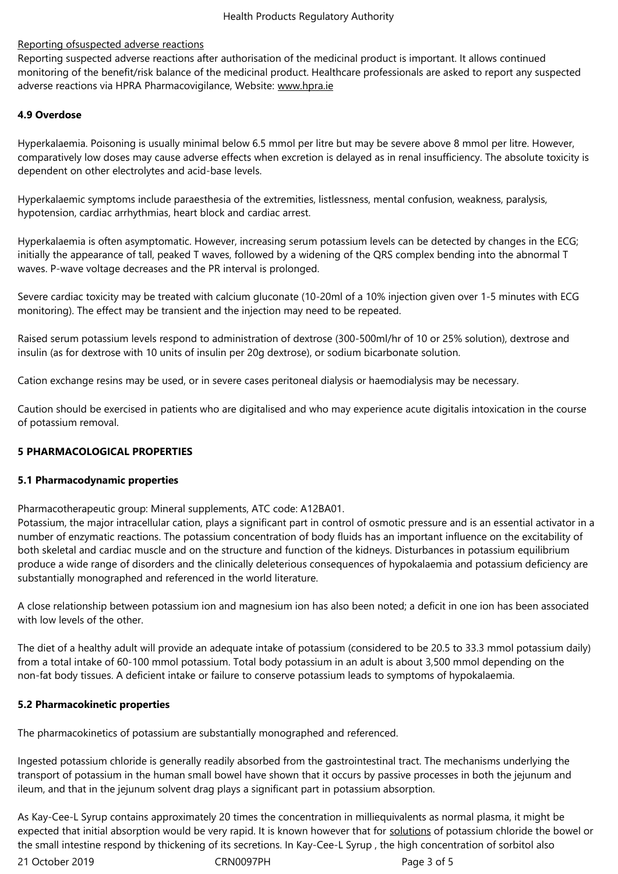# Reporting ofsuspected adverse reactions

Reporting suspected adverse reactions after authorisation of the medicinal product is important. It allows continued monitoring of the benefit/risk balance of the medicinal product. Healthcare professionals are asked to report any suspected adverse reactions via HPRA Pharmacovigilance, Website: www.hpra.ie

## **4.9 Overdose**

Hyperkalaemia. Poisoning is usually minimal below 6.5 mmol per litre but may be severe above 8 mmol per litre. However, comparatively low doses may cause adverse effects when excretion is delayed as in renal insufficiency. The absolute toxicity is dependent on other electrolytes and acid-base levels.

Hyperkalaemic symptoms include paraesthesia of the extremities, listlessness, mental confusion, weakness, paralysis, hypotension, cardiac arrhythmias, heart block and cardiac arrest.

Hyperkalaemia is often asymptomatic. However, increasing serum potassium levels can be detected by changes in the ECG; initially the appearance of tall, peaked T waves, followed by a widening of the QRS complex bending into the abnormal T waves. P-wave voltage decreases and the PR interval is prolonged.

Severe cardiac toxicity may be treated with calcium gluconate (10-20ml of a 10% injection given over 1-5 minutes with ECG monitoring). The effect may be transient and the injection may need to be repeated.

Raised serum potassium levels respond to administration of dextrose (300-500ml/hr of 10 or 25% solution), dextrose and insulin (as for dextrose with 10 units of insulin per 20g dextrose), or sodium bicarbonate solution.

Cation exchange resins may be used, or in severe cases peritoneal dialysis or haemodialysis may be necessary.

Caution should be exercised in patients who are digitalised and who may experience acute digitalis intoxication in the course of potassium removal.

# **5 PHARMACOLOGICAL PROPERTIES**

#### **5.1 Pharmacodynamic properties**

Pharmacotherapeutic group: Mineral supplements, ATC code: A12BA01.

Potassium, the major intracellular cation, plays a significant part in control of osmotic pressure and is an essential activator in a number of enzymatic reactions. The potassium concentration of body fluids has an important influence on the excitability of both skeletal and cardiac muscle and on the structure and function of the kidneys. Disturbances in potassium equilibrium produce a wide range of disorders and the clinically deleterious consequences of hypokalaemia and potassium deficiency are substantially monographed and referenced in the world literature.

A close relationship between potassium ion and magnesium ion has also been noted; a deficit in one ion has been associated with low levels of the other.

The diet of a healthy adult will provide an adequate intake of potassium (considered to be 20.5 to 33.3 mmol potassium daily) from a total intake of 60-100 mmol potassium. Total body potassium in an adult is about 3,500 mmol depending on the non-fat body tissues. A deficient intake or failure to conserve potassium leads to symptoms of hypokalaemia.

#### **5.2 Pharmacokinetic properties**

The pharmacokinetics of potassium are substantially monographed and referenced.

Ingested potassium chloride is generally readily absorbed from the gastrointestinal tract. The mechanisms underlying the transport of potassium in the human small bowel have shown that it occurs by passive processes in both the jejunum and ileum, and that in the jejunum solvent drag plays a significant part in potassium absorption.

As Kay-Cee-L Syrup contains approximately 20 times the concentration in milliequivalents as normal plasma, it might be expected that initial absorption would be very rapid. It is known however that for solutions of potassium chloride the bowel or the small intestine respond by thickening of its secretions. In Kay-Cee-L Syrup , the high concentration of sorbitol also

21 October 2019 CRN0097PH Page 3 of 5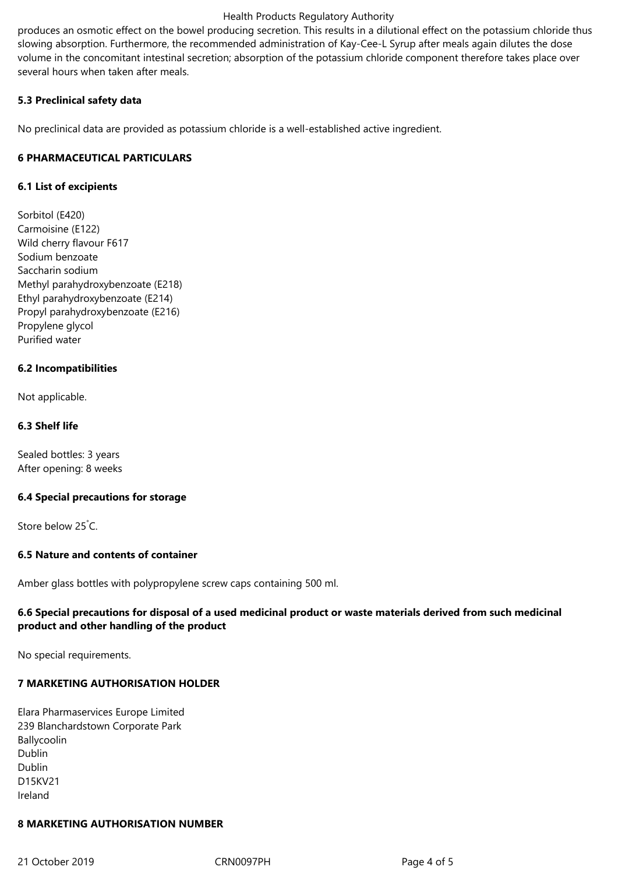#### Health Products Regulatory Authority

produces an osmotic effect on the bowel producing secretion. This results in a dilutional effect on the potassium chloride thus slowing absorption. Furthermore, the recommended administration of Kay-Cee-L Syrup after meals again dilutes the dose volume in the concomitant intestinal secretion; absorption of the potassium chloride component therefore takes place over several hours when taken after meals.

# **5.3 Preclinical safety data**

No preclinical data are provided as potassium chloride is a well-established active ingredient.

# **6 PHARMACEUTICAL PARTICULARS**

# **6.1 List of excipients**

Sorbitol (E420) Carmoisine (E122) Wild cherry flavour F617 Sodium benzoate Saccharin sodium Methyl parahydroxybenzoate (E218) Ethyl parahydroxybenzoate (E214) Propyl parahydroxybenzoate (E216) Propylene glycol Purified water

# **6.2 Incompatibilities**

Not applicable.

# **6.3 Shelf life**

Sealed bottles: 3 years After opening: 8 weeks

#### **6.4 Special precautions for storage**

Store below 25°C.

# **6.5 Nature and contents of container**

Amber glass bottles with polypropylene screw caps containing 500 ml.

# **6.6 Special precautions for disposal of a used medicinal product or waste materials derived from such medicinal product and other handling of the product**

No special requirements.

# **7 MARKETING AUTHORISATION HOLDER**

Elara Pharmaservices Europe Limited 239 Blanchardstown Corporate Park Ballycoolin Dublin Dublin D15KV21 Ireland

#### **8 MARKETING AUTHORISATION NUMBER**